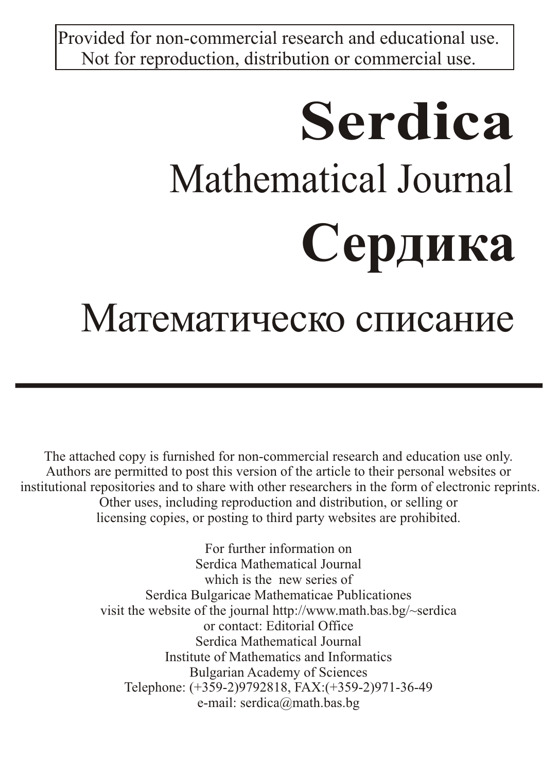Provided for non-commercial research and educational use. Not for reproduction, distribution or commercial use.

# **Serdica** Mathematical Journal **Сердика**

# Математическо списание

The attached copy is furnished for non-commercial research and education use only. Authors are permitted to post this version of the article to their personal websites or institutional repositories and to share with other researchers in the form of electronic reprints. Other uses, including reproduction and distribution, or selling or licensing copies, or posting to third party websites are prohibited.

> For further information on Serdica Mathematical Journal which is the new series of Serdica Bulgaricae Mathematicae Publicationes visit the website of the journal http://www.math.bas.bg/~serdica or contact: Editorial Office Serdica Mathematical Journal Institute of Mathematics and Informatics Bulgarian Academy of Sciences Telephone: (+359-2)9792818, FAX:(+359-2)971-36-49 e-mail: serdica@math.bas.bg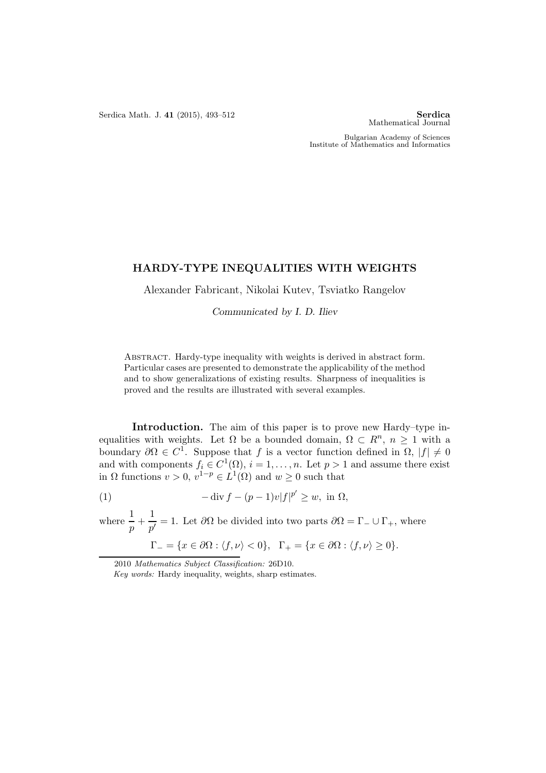Serdica Math. J. 41 (2015), 493-512 Serdica

Mathematical Journal

Bulgarian Academy of Sciences Institute of Mathematics and Informatics

## HARDY-TYPE INEQUALITIES WITH WEIGHTS

Alexander Fabricant, Nikolai Kutev, Tsviatko Rangelov

*Communicated by I. D. Iliev*

Abstract. Hardy-type inequality with weights is derived in abstract form. Particular cases are presented to demonstrate the applicability of the method and to show generalizations of existing results. Sharpness of inequalities is proved and the results are illustrated with several examples.

Introduction. The aim of this paper is to prove new Hardy–type inequalities with weights. Let  $\Omega$  be a bounded domain,  $\Omega \subset R^n$ ,  $n \geq 1$  with a boundary  $\partial\Omega \in C^1$ . Suppose that f is a vector function defined in  $\Omega$ ,  $|f| \neq 0$ and with components  $f_i \in C^1(\Omega)$ ,  $i = 1, ..., n$ . Let  $p > 1$  and assume there exist in  $\Omega$  functions  $v > 0$ ,  $v^{1-p} \in L^1(\Omega)$  and  $w \ge 0$  such that

(1) 
$$
-\operatorname{div} f - (p-1)v|f|^{p'} \geq w, \text{ in } \Omega,
$$

where  $\frac{1}{p} + \frac{1}{p'}$  $\frac{1}{p'} = 1$ . Let  $\partial\Omega$  be divided into two parts  $\partial\Omega = \Gamma_-\cup\Gamma_+$ , where  $\Gamma_{-} = \{x \in \partial\Omega : \langle f, \nu \rangle < 0\}, \quad \Gamma_{+} = \{x \in \partial\Omega : \langle f, \nu \rangle \geq 0\}.$ 

<sup>2010</sup> Mathematics Subject Classification: 26D10.

Key words: Hardy inequality, weights, sharp estimates.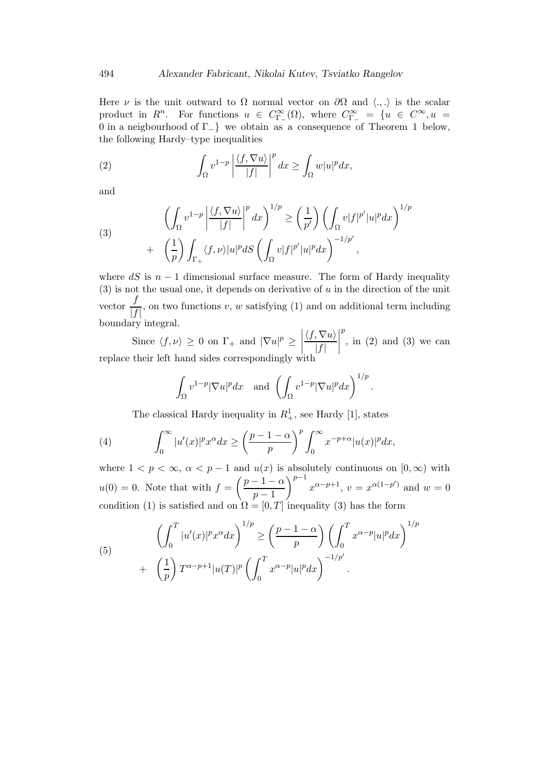Here  $\nu$  is the unit outward to  $\Omega$  normal vector on  $\partial\Omega$  and  $\langle.,.\rangle$  is the scalar product in  $R^n$ . For functions  $u \in C^{\infty}_{\Gamma_{-}}(\Omega)$ , where  $C^{\infty}_{\Gamma_{-}} = \{u \in C^{\infty}, u =$ 0 in a neigbourhood of Γ−} we obtain as a consequence of Theorem 1 below, the following Hardy–type inequalities

(2) 
$$
\int_{\Omega} v^{1-p} \left| \frac{\langle f, \nabla u \rangle}{|f|} \right|^p dx \ge \int_{\Omega} w |u|^p dx,
$$

and

(3)
$$
\left(\int_{\Omega} v^{1-p} \left| \frac{\langle f, \nabla u \rangle}{|f|} \right|^p dx \right)^{1/p} \ge \left(\frac{1}{p'}\right) \left(\int_{\Omega} v |f|^{p'} |u|^p dx \right)^{1/p} + \left(\frac{1}{p}\right) \int_{\Gamma_+} \langle f, \nu \rangle |u|^p dS \left(\int_{\Omega} v |f|^{p'} |u|^p dx \right)^{-1/p'},
$$

where dS is  $n-1$  dimensional surface measure. The form of Hardy inequality  $(3)$  is not the usual one, it depends on derivative of u in the direction of the unit vector  $\frac{f}{1-f}$  $\frac{f}{|f|}$ , on two functions v, w satisfying (1) and on additional term including boundary integral.

Since  $\langle f, \nu \rangle \ge 0$  on  $\Gamma_+$  and  $|\nabla u|^p \ge \left| \begin{array}{c} 0 & \text{if } v \le \nu \end{array} \right|$  replace their left hand sides correspondingly with  $\langle f, \nabla u \rangle$  $|f|$  $\begin{array}{c} \begin{array}{c} \begin{array}{c} \begin{array}{c} \end{array}\\ \end{array} \end{array} \end{array}$ p , in (2) and (3) we can

$$
\int_{\Omega} v^{1-p} |\nabla u|^p dx \text{ and } \left( \int_{\Omega} v^{1-p} |\nabla u|^p dx \right)^{1/p}.
$$

The classical Hardy inequality in  $R_+^1$ , see Hardy [1], states

(4) 
$$
\int_0^\infty |u'(x)|^p x^\alpha dx \ge \left(\frac{p-1-\alpha}{p}\right)^p \int_0^\infty x^{-p+\alpha} |u(x)|^p dx,
$$

where  $1 < p < \infty$ ,  $\alpha < p - 1$  and  $u(x)$  is absolutely continuous on  $[0, \infty)$  with  $u(0) = 0$ . Note that with  $f = \left(\frac{p-1-\alpha}{1}\right)$  $p-1$  $\int^{p-1} x^{\alpha - p + 1}$ ,  $v = x^{\alpha(1-p')}$  and  $w = 0$ condition (1) is satisfied and on  $\Omega = [0, T]$  inequality (3) has the form

(5) 
$$
\left(\int_0^T |u'(x)|^p x^{\alpha} dx\right)^{1/p} \ge \left(\frac{p-1-\alpha}{p}\right) \left(\int_0^T x^{\alpha-p} |u|^p dx\right)^{1/p} + \left(\frac{1}{p}\right) T^{\alpha-p+1} |u(T)|^p \left(\int_0^T x^{\alpha-p} |u|^p dx\right)^{-1/p'}.
$$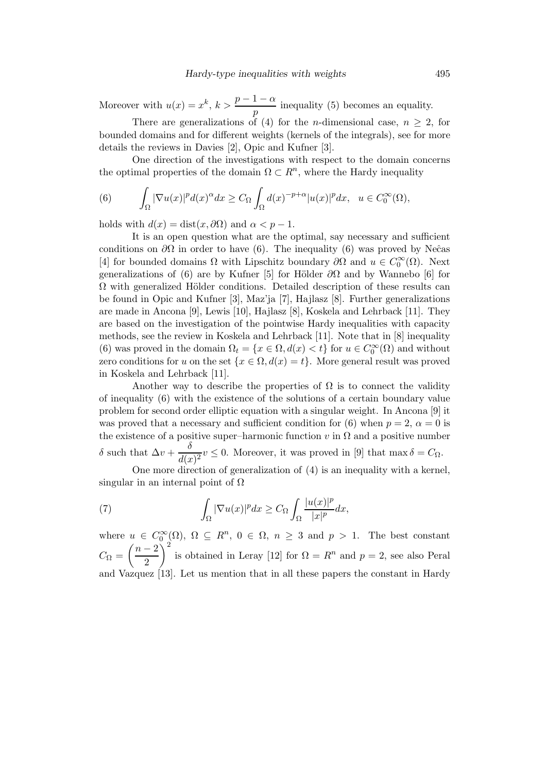Moreover with  $u(x) = x^k$ ,  $k > \frac{p-1-\alpha}{p}$  inequality (5) becomes an equality.

There are generalizations of (4) for the *n*-dimensional case,  $n > 2$ , for bounded domains and for different weights (kernels of the integrals), see for more details the reviews in Davies [2], Opic and Kufner [3].

One direction of the investigations with respect to the domain concerns the optimal properties of the domain  $\Omega \subset \mathbb{R}^n$ , where the Hardy inequality

(6) 
$$
\int_{\Omega} |\nabla u(x)|^p d(x)^{\alpha} dx \geq C_{\Omega} \int_{\Omega} d(x)^{-p+\alpha} |u(x)|^p dx, \quad u \in C_0^{\infty}(\Omega),
$$

holds with  $d(x) = \text{dist}(x, \partial \Omega)$  and  $\alpha < p - 1$ .

It is an open question what are the optimal, say necessary and sufficient conditions on  $\partial\Omega$  in order to have (6). The inequality (6) was proved by Ne $\hat{c}$ as [4] for bounded domains  $\Omega$  with Lipschitz boundary  $\partial\Omega$  and  $u \in C_0^{\infty}(\Omega)$ . Next generalizations of (6) are by Kufner [5] for Hölder  $\partial\Omega$  and by Wannebo [6] for  $\Omega$  with generalized Hölder conditions. Detailed description of these results can be found in Opic and Kufner [3], Maz'ja [7], Hajlasz [8]. Further generalizations are made in Ancona [9], Lewis [10], Hajlasz [8], Koskela and Lehrback [11]. They are based on the investigation of the pointwise Hardy inequalities with capacity methods, see the review in Koskela and Lehrback [11]. Note that in [8] inequality (6) was proved in the domain  $\Omega_t = \{x \in \Omega, d(x) < t\}$  for  $u \in C_0^{\infty}(\Omega)$  and without zero conditions for u on the set  $\{x \in \Omega, d(x) = t\}$ . More general result was proved in Koskela and Lehrback [11].

Another way to describe the properties of  $\Omega$  is to connect the validity of inequality (6) with the existence of the solutions of a certain boundary value problem for second order elliptic equation with a singular weight. In Ancona [9] it was proved that a necessary and sufficient condition for (6) when  $p = 2$ ,  $\alpha = 0$  is the existence of a positive super–harmonic function v in  $\Omega$  and a positive number δ such that  $\Delta v + \frac{\delta}{\Delta u}$  $\frac{\partial}{\partial (x)}\nu \leq 0$ . Moreover, it was proved in [9] that max  $\delta = C_{\Omega}$ .

One more direction of generalization of (4) is an inequality with a kernel, singular in an internal point of  $\Omega$ 

(7) 
$$
\int_{\Omega} |\nabla u(x)|^p dx \geq C_{\Omega} \int_{\Omega} \frac{|u(x)|^p}{|x|^p} dx,
$$

where  $u \in C_0^{\infty}(\Omega)$ ,  $\Omega \subseteq R^n$ ,  $0 \in \Omega$ ,  $n \geq 3$  and  $p > 1$ . The best constant  $C_{\Omega} = \left(\frac{n-2}{2}\right)$ 2  $\int_0^2$  is obtained in Leray [12] for  $\Omega = R^n$  and  $p = 2$ , see also Peral and Vazquez [13]. Let us mention that in all these papers the constant in Hardy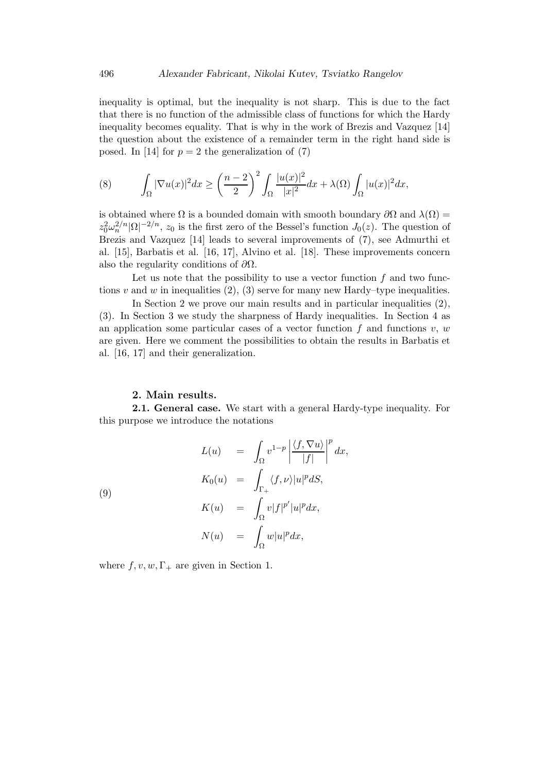inequality is optimal, but the inequality is not sharp. This is due to the fact that there is no function of the admissible class of functions for which the Hardy inequality becomes equality. That is why in the work of Brezis and Vazquez [14] the question about the existence of a remainder term in the right hand side is posed. In [14] for  $p = 2$  the generalization of (7)

(8) 
$$
\int_{\Omega} |\nabla u(x)|^2 dx \ge \left(\frac{n-2}{2}\right)^2 \int_{\Omega} \frac{|u(x)|^2}{|x|^2} dx + \lambda(\Omega) \int_{\Omega} |u(x)|^2 dx,
$$

is obtained where  $\Omega$  is a bounded domain with smooth boundary  $\partial\Omega$  and  $\lambda(\Omega)$  =  $z_0^2 \omega_n^{2/n} |\Omega|^{-2/n}$ ,  $z_0$  is the first zero of the Bessel's function  $J_0(z)$ . The question of Brezis and Vazquez [14] leads to several improvements of (7), see Admurthi et al. [15], Barbatis et al. [16, 17], Alvino et al. [18]. These improvements concern also the regularity conditions of  $\partial\Omega$ .

Let us note that the possibility to use a vector function  $f$  and two functions v and w in inequalities  $(2)$ ,  $(3)$  serve for many new Hardy–type inequalities.

In Section 2 we prove our main results and in particular inequalities (2), (3). In Section 3 we study the sharpness of Hardy inequalities. In Section 4 as an application some particular cases of a vector function f and functions  $v, w$ are given. Here we comment the possibilities to obtain the results in Barbatis et al. [16, 17] and their generalization.

### 2. Main results.

2.1. General case. We start with a general Hardy-type inequality. For this purpose we introduce the notations

(9)  
\n
$$
L(u) = \int_{\Omega} v^{1-p} \left| \frac{\langle f, \nabla u \rangle}{|f|} \right|^p dx,
$$
\n
$$
K_0(u) = \int_{\Gamma_+} \langle f, \nu \rangle |u|^p dS,
$$
\n
$$
K(u) = \int_{\Omega} v |f|^{p'} |u|^p dx,
$$
\n
$$
N(u) = \int_{\Omega} w |u|^p dx,
$$

where  $f, v, w, \Gamma_+$  are given in Section 1.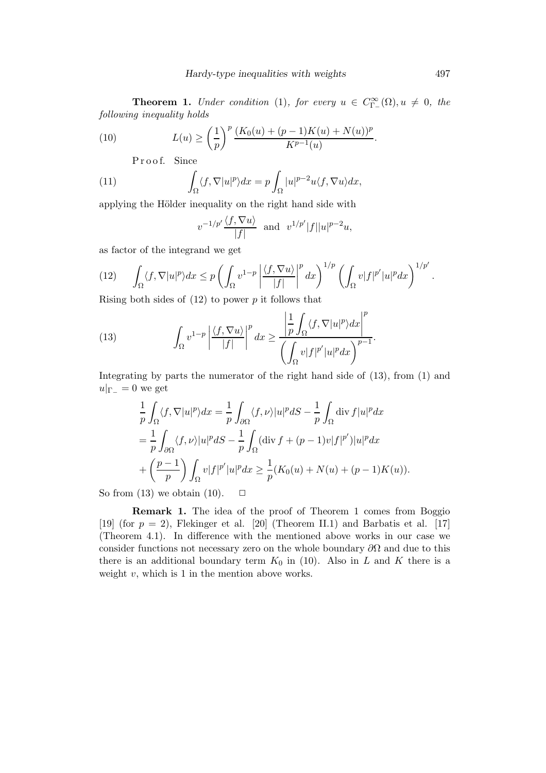**Theorem 1.** Under condition (1), for every  $u \in C^{\infty}_{\Gamma}(\Omega), u \neq 0$ , the following inequality holds

(10) 
$$
L(u) \ge \left(\frac{1}{p}\right)^p \frac{(K_0(u) + (p-1)K(u) + N(u))^p}{K^{p-1}(u)}.
$$

Proof. Since

(11) 
$$
\int_{\Omega} \langle f, \nabla |u|^p \rangle dx = p \int_{\Omega} |u|^{p-2} u \langle f, \nabla u \rangle dx,
$$

applying the Hölder inequality on the right hand side with

$$
v^{-1/p'}\frac{\langle f, \nabla u \rangle}{|f|}
$$
 and  $v^{1/p'}|f||u|^{p-2}u$ ,

as factor of the integrand we get

$$
(12)\qquad \int_{\Omega} \langle f, \nabla |u|^p \rangle dx \le p \left( \int_{\Omega} v^{1-p} \left| \frac{\langle f, \nabla u \rangle}{|f|} \right|^p dx \right)^{1/p} \left( \int_{\Omega} v |f|^{p'} |u|^p dx \right)^{1/p'}
$$

Rising both sides of  $(12)$  to power p it follows that

(13) 
$$
\int_{\Omega} v^{1-p} \left| \frac{\langle f, \nabla u \rangle}{|f|} \right|^p dx \ge \frac{\left| \frac{1}{p} \int_{\Omega} \langle f, \nabla |u|^p \rangle dx \right|^p}{\left( \int_{\Omega} v |f|^{p'} |u|^p dx \right)^{p-1}}.
$$

Integrating by parts the numerator of the right hand side of (13), from (1) and  $u|_{\Gamma} = 0$  we get

$$
\frac{1}{p} \int_{\Omega} \langle f, \nabla |u|^p \rangle dx = \frac{1}{p} \int_{\partial \Omega} \langle f, \nu \rangle |u|^p dS - \frac{1}{p} \int_{\Omega} \text{div } f |u|^p dx
$$
\n
$$
= \frac{1}{p} \int_{\partial \Omega} \langle f, \nu \rangle |u|^p dS - \frac{1}{p} \int_{\Omega} (\text{div } f + (p-1)v|f|^{p'}) |u|^p dx
$$
\n
$$
+ \left(\frac{p-1}{p}\right) \int_{\Omega} v |f|^{p'} |u|^p dx \ge \frac{1}{p} (K_0(u) + N(u) + (p-1)K(u)).
$$

So from (13) we obtain (10).  $\Box$ 

Remark 1. The idea of the proof of Theorem 1 comes from Boggio [19] (for  $p = 2$ ), Flekinger et al. [20] (Theorem II.1) and Barbatis et al. [17] (Theorem 4.1). In difference with the mentioned above works in our case we consider functions not necessary zero on the whole boundary  $\partial\Omega$  and due to this there is an additional boundary term  $K_0$  in (10). Also in L and K there is a weight  $v$ , which is 1 in the mention above works.

.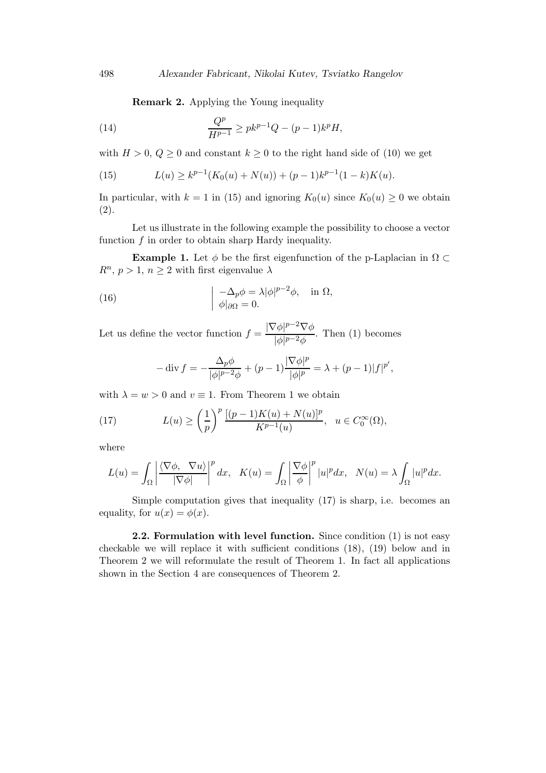Remark 2. Applying the Young inequality

(14) 
$$
\frac{Q^p}{H^{p-1}} \geq p k^{p-1} Q - (p-1) k^p H,
$$

with  $H > 0$ ,  $Q \ge 0$  and constant  $k \ge 0$  to the right hand side of (10) we get

(15) 
$$
L(u) \ge k^{p-1}(K_0(u) + N(u)) + (p-1)k^{p-1}(1-k)K(u).
$$

In particular, with  $k = 1$  in (15) and ignoring  $K_0(u)$  since  $K_0(u) \geq 0$  we obtain (2).

Let us illustrate in the following example the possibility to choose a vector function  $f$  in order to obtain sharp Hardy inequality.

**Example 1.** Let  $\phi$  be the first eigenfunction of the p-Laplacian in  $\Omega \subset$  $R^n$ ,  $p > 1$ ,  $n \geq 2$  with first eigenvalue  $\lambda$ 

(16) 
$$
\begin{cases} -\Delta_p \phi = \lambda |\phi|^{p-2} \phi, & \text{in } \Omega, \\ \phi|_{\partial \Omega} = 0. \end{cases}
$$

Let us define the vector function  $f = \frac{|\nabla \phi|^{p-2} \nabla \phi}{\frac{1}{2} |\nabla \phi|^{p-2}}$  $\frac{\varphi_1 + \varphi_2}{|\phi|^{p-2}\phi}$ . Then (1) becomes

$$
-\operatorname{div} f = -\frac{\Delta_p \phi}{|\phi|^{p-2} \phi} + (p-1) \frac{|\nabla \phi|^p}{|\phi|^p} = \lambda + (p-1)|f|^{p'},
$$

with  $\lambda = w > 0$  and  $v \equiv 1$ . From Theorem 1 we obtain

(17) 
$$
L(u) \ge \left(\frac{1}{p}\right)^p \frac{[(p-1)K(u) + N(u)]^p}{K^{p-1}(u)}, \ \ u \in C_0^{\infty}(\Omega),
$$

where

$$
L(u) = \int_{\Omega} \left| \frac{\langle \nabla \phi, \nabla u \rangle}{|\nabla \phi|} \right|^p dx, \quad K(u) = \int_{\Omega} \left| \frac{\nabla \phi}{\phi} \right|^p |u|^p dx, \quad N(u) = \lambda \int_{\Omega} |u|^p dx.
$$

Simple computation gives that inequality (17) is sharp, i.e. becomes an equality, for  $u(x) = \phi(x)$ .

2.2. Formulation with level function. Since condition (1) is not easy checkable we will replace it with sufficient conditions (18), (19) below and in Theorem 2 we will reformulate the result of Theorem 1. In fact all applications shown in the Section 4 are consequences of Theorem 2.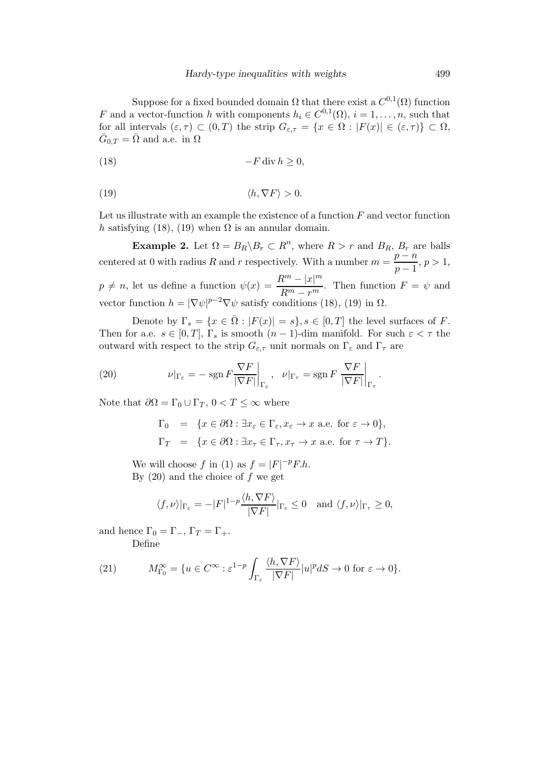Suppose for a fixed bounded domain  $\Omega$  that there exist a  $C^{0,1}(\Omega)$  function F and a vector-function h with components  $h_i \in C^{0,1}(\Omega)$ ,  $i = 1, \ldots, n$ , such that for all intervals  $(\varepsilon, \tau) \subset (0, T)$  the strip  $G_{\varepsilon, \tau} = \{x \in \Omega : |F(x)| \in (\varepsilon, \tau)\} \subset \Omega$ ,  $\bar{G}_{0,T} = \bar{\Omega}$  and a.e. in  $\Omega$ 

$$
(18) \t\t -F \operatorname{div} h \ge 0,
$$

$$
\langle h, \nabla F \rangle > 0.
$$

Let us illustrate with an example the existence of a function  $F$  and vector function h satisfying (18), (19) when  $\Omega$  is an annular domain.

**Example 2.** Let  $\Omega = B_R \backslash B_r \subset R^n$ , where  $R > r$  and  $B_R$ ,  $B_r$  are balls centered at 0 with radius R and r respectively. With a number  $m = \frac{p - n}{n}$  $\frac{p}{p-1}, p > 1,$  $p \neq n$ , let us define a function  $\psi(x) = \frac{R^m - |x|^m}{R^m - x^m}$  $\frac{e^{i\theta}}{R^m - r^m}$ . Then function  $F = \psi$  and vector function  $h = |\nabla \psi|^{p-2} \nabla \psi$  satisfy conditions (18), (19) in  $\Omega$ .

Denote by  $\Gamma_s = \{x \in \overline{\Omega} : |F(x)| = s\}, s \in [0, T]$  the level surfaces of F. Then for a.e.  $s \in [0, T]$ ,  $\Gamma_s$  is smooth  $(n - 1)$ -dim manifold. For such  $\varepsilon < \tau$  the outward with respect to the strip  $G_{\varepsilon,\tau}$  unit normals on  $\Gamma_{\varepsilon}$  and  $\Gamma_{\tau}$  are

(20) 
$$
\nu|_{\Gamma_{\varepsilon}} = -\operatorname{sgn} F \frac{\nabla F}{|\nabla F|}\bigg|_{\Gamma_{\varepsilon}}, \quad \nu|_{\Gamma_{\tau}} = \operatorname{sgn} F \frac{\nabla F}{|\nabla F|}\bigg|_{\Gamma_{\tau}}.
$$

Note that  $\partial\Omega = \Gamma_0 \cup \Gamma_T$ ,  $0 < T \leq \infty$  where

$$
\Gamma_0 = \{x \in \partial\Omega : \exists x_{\varepsilon} \in \Gamma_{\varepsilon}, x_{\varepsilon} \to x \text{ a.e. for } \varepsilon \to 0\},\
$$
  

$$
\Gamma_T = \{x \in \partial\Omega : \exists x_{\tau} \in \Gamma_{\tau}, x_{\tau} \to x \text{ a.e. for } \tau \to T\}.
$$

We will choose f in (1) as  $f = |F|^{-p} F \cdot h$ . By  $(20)$  and the choice of f we get

$$
\langle f, \nu \rangle |_{\Gamma_{\varepsilon}} = -|F|^{1-p} \frac{\langle h, \nabla F \rangle}{|\nabla F|} |_{\Gamma_{\varepsilon}} \le 0 \text{ and } \langle f, \nu \rangle |_{\Gamma_{\tau}} \ge 0,
$$

and hence  $\Gamma_0 = \Gamma_-, \Gamma_T = \Gamma_+.$ Define

(21) 
$$
M_{\Gamma_0}^{\infty} = \{ u \in C^{\infty} : \varepsilon^{1-p} \int_{\Gamma_{\varepsilon}} \frac{\langle h, \nabla F \rangle}{|\nabla F|} |u|^p dS \to 0 \text{ for } \varepsilon \to 0 \}.
$$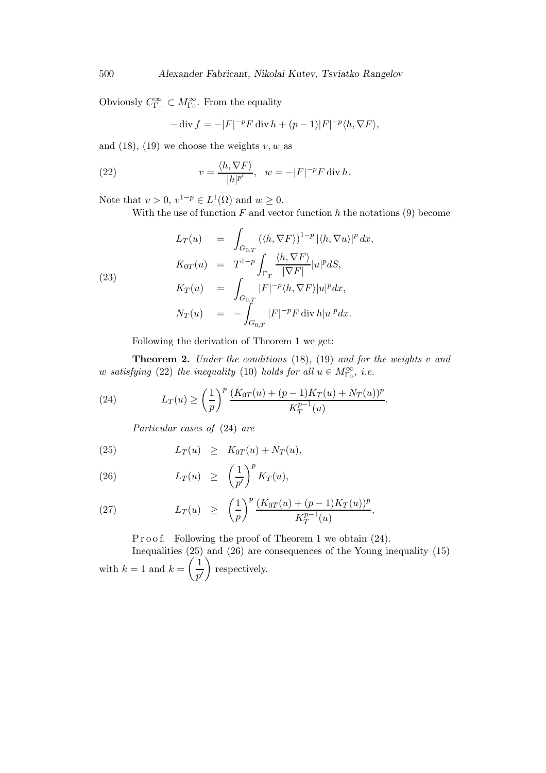Obviously  $C_{\Gamma_{-}}^{\infty} \subset M_{\Gamma_{0}}^{\infty}$ . From the equality

$$
-\operatorname{div} f = -|F|^{-p} F \operatorname{div} h + (p-1)|F|^{-p} \langle h, \nabla F \rangle,
$$

and  $(18)$ ,  $(19)$  we choose the weights v, w as

(22) 
$$
v = \frac{\langle h, \nabla F \rangle}{|h|^{p'}}, \quad w = -|F|^{-p} F \operatorname{div} h.
$$

Note that  $v > 0$ ,  $v^{1-p} \in L^1(\Omega)$  and  $w \ge 0$ .

With the use of function  $F$  and vector function h the notations (9) become

(23)  
\n
$$
L_T(u) = \int_{G_{0,T}} (\langle h, \nabla F \rangle)^{1-p} |\langle h, \nabla u \rangle|^p dx,
$$
\n
$$
K_{0T}(u) = T^{1-p} \int_{\Gamma_T} \frac{\langle h, \nabla F \rangle}{|\nabla F|} |u|^p dS,
$$
\n
$$
K_T(u) = \int_{G_{0,T}} |F|^{-p} \langle h, \nabla F \rangle |u|^p dx,
$$
\n
$$
N_T(u) = - \int_{G_{0,T}} |F|^{-p} F \operatorname{div} h |u|^p dx.
$$

Following the derivation of Theorem 1 we get:

**Theorem 2.** Under the conditions  $(18)$ ,  $(19)$  and for the weights v and w satisfying (22) the inequality (10) holds for all  $u \in M^{\infty}_{\Gamma_0}$ , i.e.

(24) 
$$
L_T(u) \ge \left(\frac{1}{p}\right)^p \frac{(K_{0T}(u) + (p-1)K_T(u) + N_T(u))^p}{K_T^{p-1}(u)}.
$$

Particular cases of (24) are

(25) 
$$
L_T(u) \geq K_{0T}(u) + N_T(u),
$$

(26) 
$$
L_T(u) \geq \left(\frac{1}{p'}\right)^p K_T(u),
$$

(27) 
$$
L_T(u) \geq \left(\frac{1}{p}\right)^p \frac{(K_{0T}(u) + (p-1)K_T(u))^p}{K_T^{p-1}(u)},
$$

P r o o f. Following the proof of Theorem 1 we obtain  $(24)$ .

Inequalities (25) and (26) are consequences of the Young inequality (15) with  $k=1$  and  $k=\left(\frac{1}{4}\right)$  $p^{\prime}$ respectively.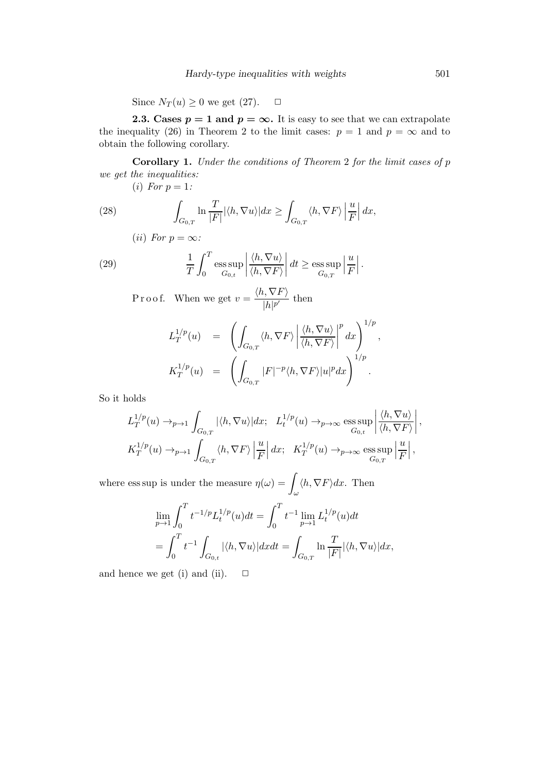Since  $N_T(u) \geq 0$  we get (27).  $\Box$ 

**2.3.** Cases  $p = 1$  and  $p = \infty$ . It is easy to see that we can extrapolate the inequality (26) in Theorem 2 to the limit cases:  $p = 1$  and  $p = \infty$  and to obtain the following corollary.

Corollary 1. Under the conditions of Theorem 2 for the limit cases of p we get the inequalities:

(i) For  $p=1$ :

(28) 
$$
\int_{G_{0,T}} \ln \frac{T}{|F|} |\langle h, \nabla u \rangle| dx \ge \int_{G_{0,T}} \langle h, \nabla F \rangle \left| \frac{u}{F} \right| dx,
$$

$$
(ii) \; For \; p = \infty:
$$

(29) 
$$
\frac{1}{T} \int_0^T \underset{G_{0,t}}{\text{ess sup}} \left| \frac{\langle h, \nabla u \rangle}{\langle h, \nabla F \rangle} \right| dt \ge \underset{G_{0,T}}{\text{ess sup}} \left| \frac{u}{F} \right|.
$$

P r o o f. When we get  $v = \frac{\langle h, \nabla F \rangle}{\frac{|\mathcal{L}||\mathcal{D}'|}{|\mathcal{L}||\mathcal{D}'|}}$  $\frac{p!}{|h|^{p'}}$  then

$$
L_T^{1/p}(u) = \left( \int_{G_{0,T}} \langle h, \nabla F \rangle \left| \frac{\langle h, \nabla u \rangle}{\langle h, \nabla F \rangle} \right|^p dx \right)^{1/p},
$$
  

$$
K_T^{1/p}(u) = \left( \int_{G_{0,T}} |F|^{-p} \langle h, \nabla F \rangle |u|^p dx \right)^{1/p}.
$$

So it holds

$$
L_T^{1/p}(u) \to_{p \to 1} \int_{G_{0,T}} |\langle h, \nabla u \rangle| dx; \quad L_t^{1/p}(u) \to_{p \to \infty} \text{ess}\sup_{G_{0,t}} \left| \frac{\langle h, \nabla u \rangle}{\langle h, \nabla F \rangle} \right|,
$$
  

$$
K_T^{1/p}(u) \to_{p \to 1} \int_{G_{0,T}} \langle h, \nabla F \rangle \left| \frac{u}{F} \right| dx; \quad K_T^{1/p}(u) \to_{p \to \infty} \text{ess}\sup_{G_{0,T}} \left| \frac{u}{F} \right|,
$$

where ess sup is under the measure  $\eta(\omega) = \gamma$ ω  $\langle h, \nabla F \rangle dx$ . Then

$$
\lim_{p \to 1} \int_0^T t^{-1/p} L_t^{1/p}(u) dt = \int_0^T t^{-1} \lim_{p \to 1} L_t^{1/p}(u) dt
$$
  
= 
$$
\int_0^T t^{-1} \int_{G_{0,t}} |\langle h, \nabla u \rangle| dx dt = \int_{G_{0,T}} \ln \frac{T}{|F|} |\langle h, \nabla u \rangle| dx,
$$

and hence we get (i) and (ii).  $\Box$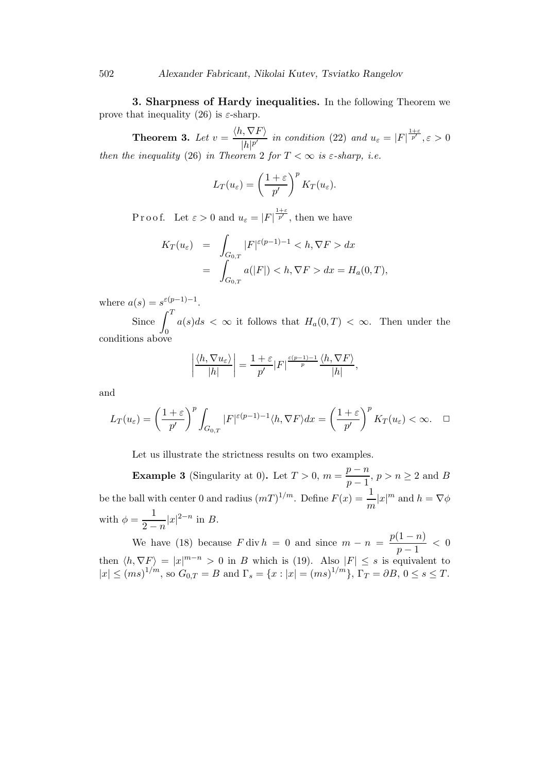3. Sharpness of Hardy inequalities. In the following Theorem we prove that inequality (26) is  $\varepsilon$ -sharp.

**Theorem 3.** Let  $v = \frac{\langle h, \nabla F \rangle}{|h|^{1/p}}$  $\frac{|h_1 \vee F|}{|h|^{p'}}$  in condition (22) and  $u_{\varepsilon} = |F|^{\frac{1+\varepsilon}{p'}}$ ,  $\varepsilon > 0$ then the inequality (26) in Theorem 2 for  $T < \infty$  is  $\varepsilon$ -sharp, i.e.

$$
L_T(u_{\varepsilon}) = \left(\frac{1+\varepsilon}{p'}\right)^p K_T(u_{\varepsilon}).
$$

P r o o f. Let  $\varepsilon > 0$  and  $u_{\varepsilon} = |F|^{\frac{1+\varepsilon}{p'}}$ , then we have

$$
K_T(u_{\varepsilon}) = \int_{G_{0,T}} |F|^{\varepsilon(p-1)-1} < h, \nabla F > dx
$$
  
= 
$$
\int_{G_{0,T}} a(|F|) < h, \nabla F > dx = H_a(0,T),
$$

where  $a(s) = s^{\varepsilon(p-1)-1}$ .

Since  $\int_0^T$  $\boldsymbol{0}$  $a(s)ds < \infty$  it follows that  $H_a(0,T) < \infty$ . Then under the conditions above

$$
\left|\frac{\langle h, \nabla u_{\varepsilon}\rangle}{|h|}\right| = \frac{1+\varepsilon}{p'}|F|^{\frac{\varepsilon(p-1)-1}{p}}\frac{\langle h, \nabla F\rangle}{|h|},
$$

and

$$
L_T(u_{\varepsilon}) = \left(\frac{1+\varepsilon}{p'}\right)^p \int_{G_{0,T}} |F|^{\varepsilon(p-1)-1} \langle h, \nabla F \rangle dx = \left(\frac{1+\varepsilon}{p'}\right)^p K_T(u_{\varepsilon}) < \infty. \quad \Box
$$

Let us illustrate the strictness results on two examples.

**Example 3** (Singularity at 0). Let  $T > 0$ ,  $m = \frac{p-n}{1}$  $\frac{p}{p-1}$ ,  $p > n \ge 2$  and B be the ball with center 0 and radius  $(mT)^{1/m}$ . Define  $F(x) = \frac{1}{m}|x|^m$  and  $h = \nabla \phi$ with  $\phi = \frac{1}{2}$  $\frac{1}{2-n}|x|^{2-n}$  in B.

We have (18) because  $F \text{div } h = 0$  and since  $m - n = \frac{p(1-n)}{1}$  $\frac{1}{p-1}$  < 0 then  $\langle h, \nabla F \rangle = |x|^{m-n} > 0$  in B which is (19). Also  $|F| \leq s$  is equivalent to  $|x| \leq (ms)^{1/m}$ , so  $G_{0,T} = B$  and  $\Gamma_s = \{x : |x| = (ms)^{1/m}\}, \Gamma_T = \partial B, 0 \leq s \leq T$ .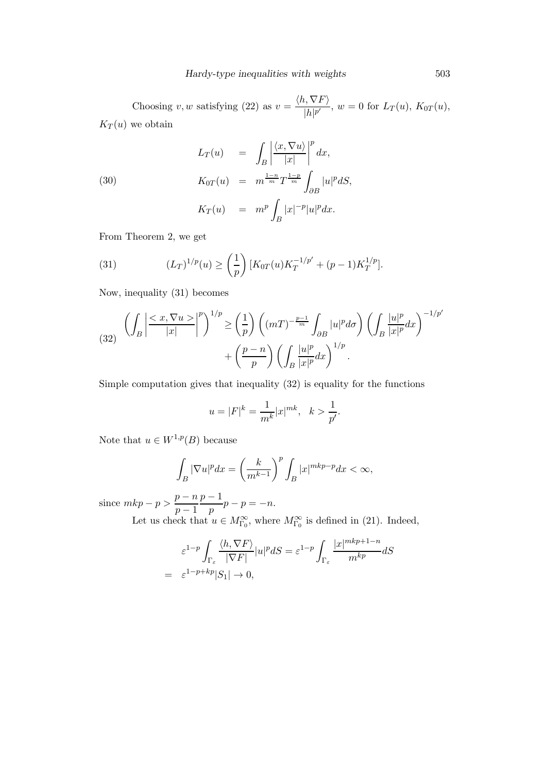Choosing v, w satisfying (22) as  $v = \frac{\langle h, \nabla F \rangle}{\vert h, h' \vert}$  $\frac{1}{|h|^{p'}}$ ,  $w = 0$  for  $L_T(u)$ ,  $K_{0T}(u)$ ,  $K_T(u)$  we obtain

(30)  
\n
$$
L_T(u) = \int_B \left| \frac{\langle x, \nabla u \rangle}{|x|} \right|^p dx,
$$
\n
$$
K_{0T}(u) = m^{\frac{1-n}{m}} T^{\frac{1-p}{m}} \int_{\partial B} |u|^p dS,
$$
\n
$$
K_T(u) = m^p \int_B |x|^{-p} |u|^p dx.
$$

From Theorem 2, we get

(31) 
$$
(L_T)^{1/p}(u) \ge \left(\frac{1}{p}\right)[K_{0T}(u)K_T^{-1/p'} + (p-1)K_T^{1/p}].
$$

Now, inequality (31) becomes

(32) 
$$
\left(\int_{B} \left| \frac{< x, \nabla u \geq \left|^{p}\right|^{1/p}}{|x|}\right|^{p}\right)^{1/p} \geq \left(\frac{1}{p}\right) \left((mT)^{-\frac{p-1}{m}} \int_{\partial B} |u|^{p} d\sigma\right) \left(\int_{B} \frac{|u|^{p}}{|x|^{p}} dx\right)^{-1/p'}
$$

$$
+ \left(\frac{p-n}{p}\right) \left(\int_{B} \frac{|u|^{p}}{|x|^{p}} dx\right)^{1/p}.
$$

Simple computation gives that inequality (32) is equality for the functions

$$
u = |F|^k = \frac{1}{m^k} |x|^{mk}, \quad k > \frac{1}{p'}.
$$

Note that  $u \in W^{1,p}(B)$  because

$$
\int_B |\nabla u|^p dx = \left(\frac{k}{m^{k-1}}\right)^p \int_B |x|^{mkp-p} dx < \infty,
$$

since  $mkp - p > \frac{p - n}{1}$  $p-1$  $p-1$  $\frac{1}{p}p-p=-n.$ 

Let us check that  $u \in M^{\infty}_{\Gamma_0}$ , where  $M^{\infty}_{\Gamma_0}$  is defined in (21). Indeed,

$$
\varepsilon^{1-p} \int_{\Gamma_{\varepsilon}} \frac{\langle h, \nabla F \rangle}{|\nabla F|} |u|^p dS = \varepsilon^{1-p} \int_{\Gamma_{\varepsilon}} \frac{|x|^{mkp+1-n}}{m^{kp}} dS
$$
  
=  $\varepsilon^{1-p+kp} |S_1| \to 0$ ,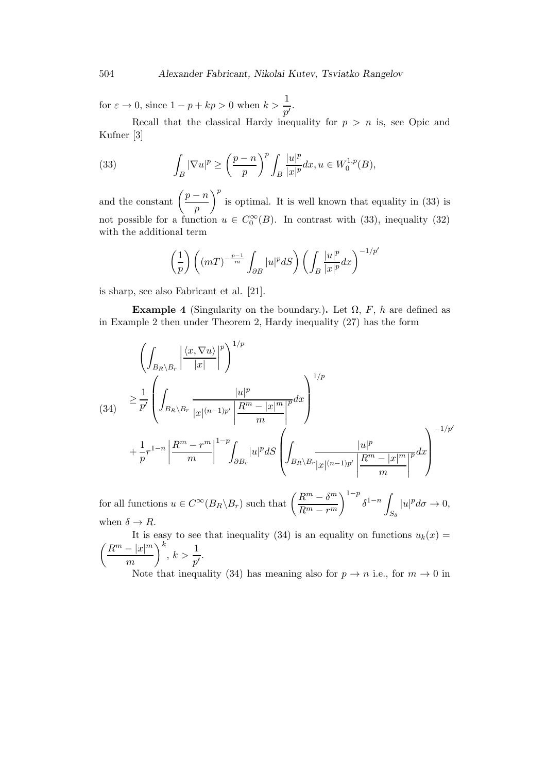for  $\varepsilon \to 0$ , since  $1 - p + kp > 0$  when  $k > \frac{1}{p'}$ .

Recall that the classical Hardy inequality for  $p > n$  is, see Opic and Kufner [3]

(33) 
$$
\int_B |\nabla u|^p \ge \left(\frac{p-n}{p}\right)^p \int_B \frac{|u|^p}{|x|^p} dx, u \in W_0^{1,p}(B),
$$

and the constant  $\left(\frac{p-n}{p}\right)$ p  $\int_{a}^{b}$  is optimal. It is well known that equality in (33) is not possible for a function  $u \in C_0^{\infty}(B)$ . In contrast with (33), inequality (32) with the additional term

$$
\left(\frac{1}{p}\right)\left((mT)^{-\frac{p-1}{m}}\int_{\partial B}|u|^{p}dS\right)\left(\int_{B}\frac{|u|^{p}}{|x|^{p}}dx\right)^{-1/p'}
$$

is sharp, see also Fabricant et al. [21].

**Example 4** (Singularity on the boundary.). Let  $\Omega$ , F, h are defined as in Example 2 then under Theorem 2, Hardy inequality (27) has the form

$$
\left(\int_{B_R \backslash B_r} \left| \frac{\langle x, \nabla u \rangle}{|x|} \right|^p \right)^{1/p}
$$
\n(34) 
$$
\geq \frac{1}{p'} \left( \int_{B_R \backslash B_r} \frac{|u|^p}{|x|^{(n-1)p'}} \left| \frac{R^m - |x|^m}{m} \right|^p dx \right)^{1/p}
$$
\n
$$
+ \frac{1}{p} r^{1-n} \left| \frac{R^m - r^m}{m} \right|^{1-p} \int_{\partial B_r} |u|^p dS \left( \int_{B_R \backslash B_r} \frac{|u|^p}{|x|^{(n-1)p'}} \left| \frac{R^m - |x|^m}{m} \right|^p dx \right)^{-1/p'}
$$

for all functions  $u \in C^{\infty}(B_R \backslash B_r)$  such that  $\left(\frac{R^m - \delta^m}{B_m} \right)$  $R^m - r^m$  $\int^{1-p} \delta^{1-n}$  $S_\delta$  $|u|^p d\sigma \to 0,$ when  $\delta \to R$ .

It is easy to see that inequality (34) is an equality on functions  $u_k(x) =$  $(R^m - |x|^m)$ m  $\bigg)^k, k > \frac{1}{p'}.$ 

Note that inequality (34) has meaning also for  $p \to n$  i.e., for  $m \to 0$  in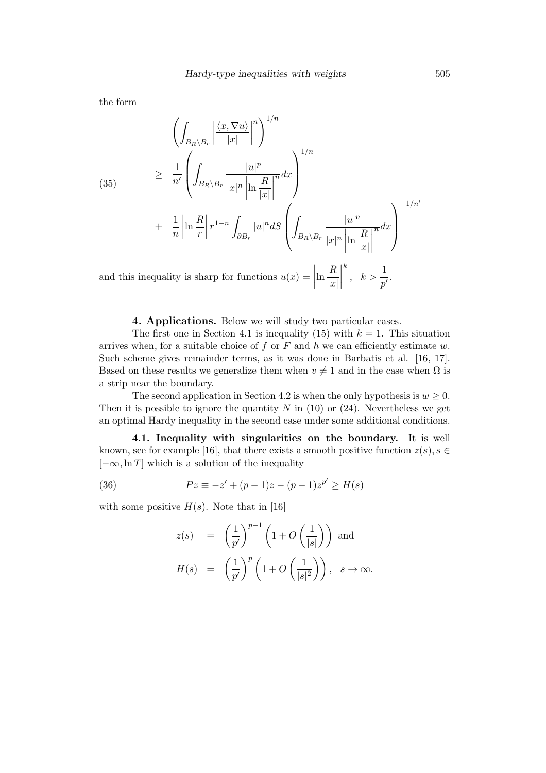the form

(35)  
\n
$$
\left(\int_{B_R \setminus B_r} \left| \frac{\langle x, \nabla u \rangle}{|x|} \right|^n \right)^{1/n}
$$
\n
$$
\geq \frac{1}{n'} \left( \int_{B_R \setminus B_r} \frac{|u|^p}{|x|^n \left| \ln \frac{R}{|x|} \right|^n} dx \right)^{1/n}
$$
\n
$$
+ \frac{1}{n} \left| \ln \frac{R}{r} \right| r^{1-n} \int_{\partial B_r} |u|^n dS \left( \int_{B_R \setminus B_r} \frac{|u|^n}{|x|^n \left| \ln \frac{R}{|x|} \right|^n} dx \right)^{-1/n'}
$$
\nand this inequality is sharp for functions  $u(x) = \left| \ln \frac{R}{|x|} \right|^k$ ,  $k > \frac{1}{p'}$ .

4. Applications. Below we will study two particular cases.

The first one in Section 4.1 is inequality (15) with  $k = 1$ . This situation arrives when, for a suitable choice of f or F and h we can efficiently estimate w. Such scheme gives remainder terms, as it was done in Barbatis et al. [16, 17]. Based on these results we generalize them when  $v \neq 1$  and in the case when  $\Omega$  is a strip near the boundary.

The second application in Section 4.2 is when the only hypothesis is  $w > 0$ . Then it is possible to ignore the quantity N in  $(10)$  or  $(24)$ . Nevertheless we get an optimal Hardy inequality in the second case under some additional conditions.

4.1. Inequality with singularities on the boundary. It is well known, see for example [16], that there exists a smooth positive function  $z(s)$ ,  $s \in$  $[-\infty, \ln T]$  which is a solution of the inequality

(36) 
$$
Pz \equiv -z' + (p-1)z - (p-1)z^{p'} \ge H(s)
$$

with some positive  $H(s)$ . Note that in [16]

$$
z(s) = \left(\frac{1}{p'}\right)^{p-1} \left(1 + O\left(\frac{1}{|s|}\right)\right) \text{ and}
$$

$$
H(s) = \left(\frac{1}{p'}\right)^p \left(1 + O\left(\frac{1}{|s|^2}\right)\right), \quad s \to \infty.
$$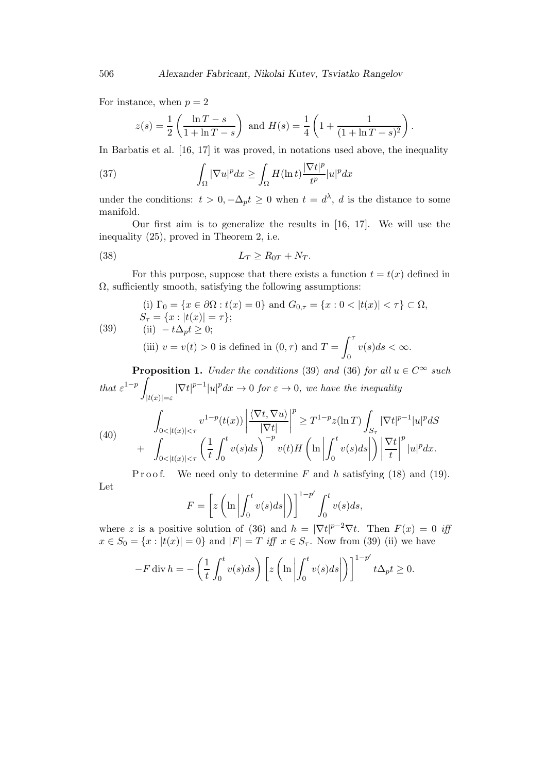For instance, when  $p = 2$ 

$$
z(s) = \frac{1}{2} \left( \frac{\ln T - s}{1 + \ln T - s} \right) \text{ and } H(s) = \frac{1}{4} \left( 1 + \frac{1}{(1 + \ln T - s)^2} \right).
$$

In Barbatis et al. [16, 17] it was proved, in notations used above, the inequality

(37) 
$$
\int_{\Omega} |\nabla u|^p dx \ge \int_{\Omega} H(\ln t) \frac{|\nabla t|^p}{t^p} |u|^p dx
$$

under the conditions:  $t > 0, -\Delta_p t \geq 0$  when  $t = d^{\lambda}, d$  is the distance to some manifold.

Our first aim is to generalize the results in [16, 17]. We will use the inequality (25), proved in Theorem 2, i.e.

$$
(38) \t\t\t L_T \ge R_{0T} + N_T.
$$

For this purpose, suppose that there exists a function  $t = t(x)$  defined in  $\Omega$ , sufficiently smooth, satisfying the following assumptions:

(1) 
$$
\Gamma_0 = \{x \in \partial\Omega : t(x) = 0\}
$$
 and  $G_{0,\tau} = \{x : 0 < |t(x)| < \tau\} \subset \Omega$ ,  
\n $S_{\tau} = \{x : |t(x)| = \tau\};$   
\n(39) (iii)  $-t\Delta_p t \ge 0$ ;  
\n(iii)  $v = v(t) > 0$  is defined in  $(0, \tau)$  and  $T = \int_0^{\tau} v(s)ds < \infty$ .

**Proposition 1.** Under the conditions (39) and (36) for all  $u \in C^{\infty}$  such that  $\varepsilon^{1-p}$  $|t(x)|=\varepsilon$  $|\nabla t|^{p-1}|u|^p dx \to 0$  for  $\varepsilon \to 0$ , we have the inequality

(40) 
$$
\int_{0<|t(x)|<\tau} v^{1-p}(t(x)) \left| \frac{\langle \nabla t, \nabla u \rangle}{|\nabla t|} \right|^p \geq T^{1-p} z(\ln T) \int_{S_{\tau}} |\nabla t|^{p-1} |u|^p dS
$$
  
+ 
$$
\int_{0<|t(x)|<\tau} \left( \frac{1}{t} \int_0^t v(s) ds \right)^{-p} v(t) H\left(\ln \left| \int_0^t v(s) ds \right| \right) \left| \frac{\nabla t}{t} \right|^p |u|^p dx.
$$

P r o o f. We need only to determine F and h satisfying  $(18)$  and  $(19)$ . Let ′

$$
F = \left[ z \left( \ln \left| \int_0^t v(s) ds \right| \right) \right]^{1-p'} \int_0^t v(s) ds,
$$

where z is a positive solution of (36) and  $h = |\nabla t|^{p-2} \nabla t$ . Then  $F(x) = 0$  if  $x \in S_0 = \{x : |t(x)| = 0\}$  and  $|F| = T$  iff  $x \in S_{\tau}$ . Now from (39) (ii) we have

$$
-F \operatorname{div} h = -\left(\frac{1}{t} \int_0^t v(s) ds\right) \left[z\left(\ln \left| \int_0^t v(s) ds \right| \right)\right]^{1-p'} t \Delta_p t \ge 0.
$$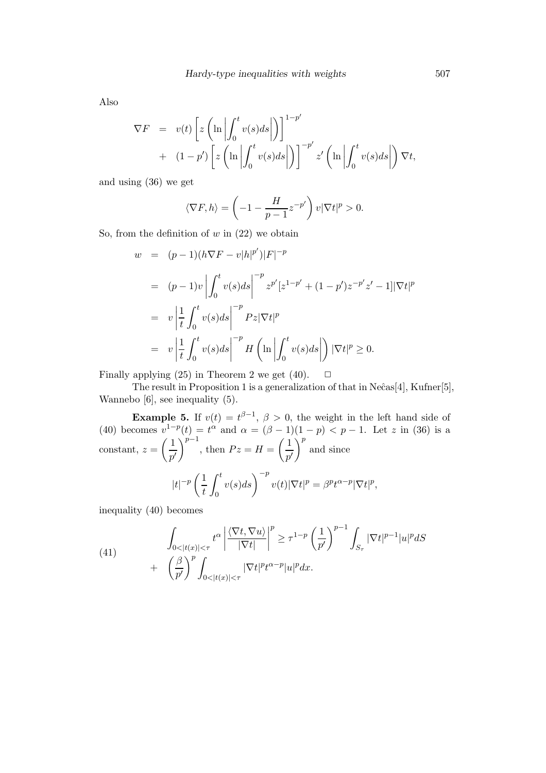Also

$$
\nabla F = v(t) \left[ z \left( \ln \left| \int_0^t v(s) ds \right| \right) \right]^{1-p'} + (1-p') \left[ z \left( \ln \left| \int_0^t v(s) ds \right| \right) \right]^{-p'} z' \left( \ln \left| \int_0^t v(s) ds \right| \right) \nabla t,
$$

and using (36) we get

$$
\langle \nabla F, h \rangle = \left( -1 - \frac{H}{p-1} z^{-p'} \right) v |\nabla t|^p > 0.
$$

So, from the definition of  $w$  in  $(22)$  we obtain

$$
w = (p-1)(h\nabla F - v|h|^{p'})|F|^{-p}
$$
  
\n
$$
= (p-1)v \left| \int_0^t v(s)ds \right|^{-p} z^{p'} [z^{1-p'} + (1-p')z^{-p'}z' - 1] |\nabla t|^p
$$
  
\n
$$
= v \left| \frac{1}{t} \int_0^t v(s)ds \right|^{-p} Pz |\nabla t|^p
$$
  
\n
$$
= v \left| \frac{1}{t} \int_0^t v(s)ds \right|^{-p} H \left( \ln \left| \int_0^t v(s)ds \right| \right) |\nabla t|^p \ge 0.
$$

Finally applying (25) in Theorem 2 we get (40).  $\Box$ 

The result in Proposition 1 is a generalization of that in  $Ne\hat{c}as[4]$ , Kufner[5], Wannebo [6], see inequality (5).

**Example 5.** If  $v(t) = t^{\beta-1}$ ,  $\beta > 0$ , the weight in the left hand side of (40) becomes  $v^{1-p}(t) = t^{\alpha}$  and  $\alpha = (\beta - 1)(1 - p) < p - 1$ . Let z in (36) is a constant,  $z = \left(\frac{1}{z}\right)$  $p^{\prime}$  $\int^{p-1}$ , then  $Pz = H = \left(\frac{1}{\epsilon}\right)$  $p^{\prime}$  $\Big)^p$  and since  $|t|^{-p}\left(\frac{1}{t}\right)$ t  $\int_0^t$  $\mathbf{0}$  $v(s)ds$ <sup>-p</sup> $v(t)|\nabla t|^p = \beta^pt^{\alpha-p}|\nabla t|^p,$ 

inequality (40) becomes

(41) 
$$
\int_{0<|t(x)|<\tau} t^{\alpha} \left| \frac{\langle \nabla t, \nabla u \rangle}{|\nabla t|} \right|^{p} \geq \tau^{1-p} \left( \frac{1}{p'} \right)^{p-1} \int_{S_{\tau}} |\nabla t|^{p-1} |u|^{p} dS + \left( \frac{\beta}{p'} \right)^{p} \int_{0<|t(x)|<\tau} |\nabla t|^{p+\alpha-p} |u|^{p} dx.
$$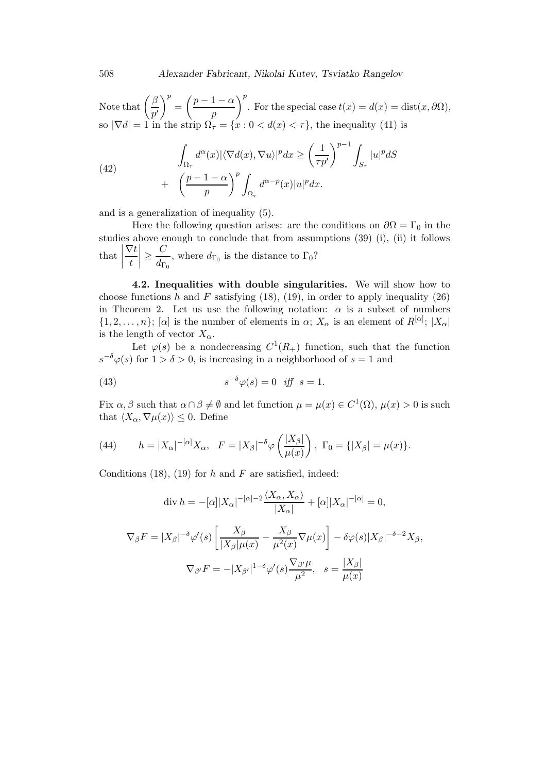Note that  $\left(\frac{\beta}{\gamma}\right)$  $p^{\prime}$  $\bigg\}^p = \bigg(\frac{p-1-\alpha}{n}\bigg)$ p  $\bigg)$ <sup>p</sup>. For the special case  $t(x) = d(x) = \text{dist}(x, \partial \Omega),$ so  $|\nabla d| = 1$  in the strip  $\Omega_{\tau} = \{x : 0 < d(x) < \tau\}$ , the inequality (41) is

(42) 
$$
\int_{\Omega_{\tau}} d^{\alpha}(x) |\langle \nabla d(x), \nabla u \rangle|^p dx \ge \left(\frac{1}{\tau p'}\right)^{p-1} \int_{S_{\tau}} |u|^p dS + \left(\frac{p-1-\alpha}{p}\right)^p \int_{\Omega_{\tau}} d^{\alpha-p}(x) |u|^p dx.
$$

and is a generalization of inequality (5).

Here the following question arises: are the conditions on  $\partial\Omega = \Gamma_0$  in the studies above enough to conclude that from assumptions (39) (i), (ii) it follows  $\left| \text{that} \right|$  $\nabla t$ t  $\begin{array}{c} \begin{array}{c} \begin{array}{c} \end{array}\\ \begin{array}{c} \end{array} \end{array} \end{array}$  $\geq \frac{C}{I}$  $\frac{1}{d_{\Gamma_0}}$ , where  $d_{\Gamma_0}$  is the distance to  $\Gamma_0$ ?

4.2. Inequalities with double singularities. We will show how to choose functions h and F satisfying  $(18)$ ,  $(19)$ , in order to apply inequality  $(26)$ in Theorem 2. Let us use the following notation:  $\alpha$  is a subset of numbers  $\{1, 2, \ldots, n\}; [\alpha]$  is the number of elements in  $\alpha$ ;  $X_{\alpha}$  is an element of  $R^{|\alpha|}$ ;  $|X_{\alpha}|$ is the length of vector  $X_{\alpha}$ .

Let  $\varphi(s)$  be a nondecreasing  $C^1(R_+)$  function, such that the function  $s^{-\delta}\varphi(s)$  for  $1 > \delta > 0$ , is increasing in a neighborhood of  $s = 1$  and

(43) 
$$
s^{-\delta}\varphi(s) = 0 \quad \text{iff} \quad s = 1.
$$

Fix  $\alpha, \beta$  such that  $\alpha \cap \beta \neq \emptyset$  and let function  $\mu = \mu(x) \in C^1(\Omega)$ ,  $\mu(x) > 0$  is such that  $\langle X_\alpha, \nabla \mu(x) \rangle \leq 0$ . Define

(44) 
$$
h = |X_{\alpha}|^{-[\alpha]}X_{\alpha}, \quad F = |X_{\beta}|^{-\delta}\varphi\left(\frac{|X_{\beta}|}{\mu(x)}\right), \quad \Gamma_0 = \{|X_{\beta}| = \mu(x)\}.
$$

Conditions (18), (19) for h and F are satisfied, indeed:

$$
\operatorname{div} h = -[\alpha] |X_{\alpha}|^{-[\alpha]-2} \frac{\langle X_{\alpha}, X_{\alpha} \rangle}{|X_{\alpha}|} + [\alpha] |X_{\alpha}|^{-[\alpha]} = 0,
$$
  

$$
\nabla_{\beta} F = |X_{\beta}|^{-\delta} \varphi'(s) \left[ \frac{X_{\beta}}{|X_{\beta}| \mu(x)} - \frac{X_{\beta}}{\mu^2(x)} \nabla \mu(x) \right] - \delta \varphi(s) |X_{\beta}|^{-\delta - 2} X_{\beta},
$$
  

$$
\nabla_{\beta'} F = -|X_{\beta'}|^{1-\delta} \varphi'(s) \frac{\nabla_{\beta'} \mu}{\mu^2}, \quad s = \frac{|X_{\beta}|}{\mu(x)}
$$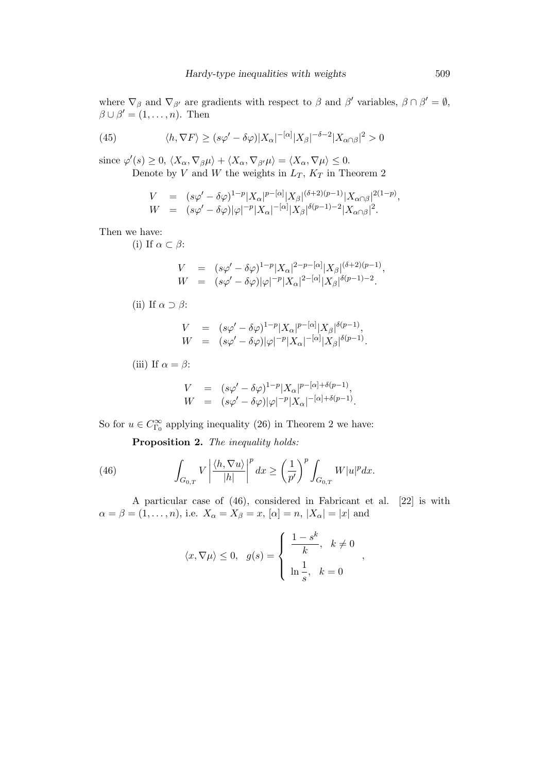where  $\nabla_{\beta}$  and  $\nabla_{\beta'}$  are gradients with respect to  $\beta$  and  $\beta'$  variables,  $\beta \cap \beta' = \emptyset$ ,  $\beta \cup \beta' = (1, \ldots, n)$ . Then

(45) 
$$
\langle h, \nabla F \rangle \ge (s\varphi' - \delta\varphi)|X_{\alpha}|^{-[\alpha]}|X_{\beta}|^{-\delta - 2}|X_{\alpha \cap \beta}|^{2} > 0
$$

since  $\varphi'(s) \geq 0$ ,  $\langle X_{\alpha}, \nabla_{\beta} \mu \rangle + \langle X_{\alpha}, \nabla_{\beta'} \mu \rangle = \langle X_{\alpha}, \nabla \mu \rangle \leq 0$ . Denote by V and W the weights in  $L_T$ ,  $K_T$  in Theorem 2

$$
V = (s\varphi' - \delta\varphi)^{1-p} |X_{\alpha}|^{p-[\alpha]} |X_{\beta}|^{(\delta+2)(p-1)} |X_{\alpha \cap \beta}|^{2(1-p)},
$$
  
\n
$$
W = (s\varphi' - \delta\varphi)|\varphi|^{-p} |X_{\alpha}|^{-(\alpha)} |X_{\beta}|^{\delta(p-1)-2} |X_{\alpha \cap \beta}|^{2}.
$$

Then we have:

(i) If  $\alpha \subset \beta$ :

$$
V = (s\varphi' - \delta\varphi)^{1-p} |X_{\alpha}|^{2-p-[{\alpha}]} |X_{\beta}|^{(\delta+2)(p-1)},
$$
  
\n
$$
W = (s\varphi' - \delta\varphi)|\varphi|^{-p} |X_{\alpha}|^{2-[{\alpha}]} |X_{\beta}|^{\delta(p-1)-2}.
$$

(ii) If  $\alpha \supset \beta$ :

$$
V = (s\varphi' - \delta\varphi)^{1-p} |X_{\alpha}|^{p-[{\alpha}]} |X_{\beta}|^{\delta(p-1)},
$$
  
\n
$$
W = (s\varphi' - \delta\varphi)|\varphi|^{-p} |X_{\alpha}|^{-[{\alpha}]} |X_{\beta}|^{\delta(p-1)}.
$$

(iii) If  $\alpha = \beta$ :

$$
V = (s\varphi' - \delta\varphi)^{1-p} |X_{\alpha}|^{p-[\alpha]+\delta(p-1)},
$$
  
\n
$$
W = (s\varphi' - \delta\varphi)|\varphi|^{-p}|X_{\alpha}|^{-[\alpha]+\delta(p-1)}.
$$

So for  $u \in C^{\infty}_{\Gamma_0}$  applying inequality (26) in Theorem 2 we have:

Proposition 2. The inequality holds:

(46) 
$$
\int_{G_{0,T}} V \left| \frac{\langle h, \nabla u \rangle}{|h|} \right|^p dx \ge \left(\frac{1}{p'}\right)^p \int_{G_{0,T}} W |u|^p dx.
$$

A particular case of (46), considered in Fabricant et al. [22] is with  $\alpha = \beta = (1, \ldots, n)$ , i.e.  $X_{\alpha} = X_{\beta} = x$ ,  $[\alpha] = n$ ,  $|X_{\alpha}| = |x|$  and

$$
\langle x, \nabla \mu \rangle \leq 0, \quad g(s) = \begin{cases} \frac{1-s^k}{k}, & k \neq 0 \\ \ln \frac{1}{s}, & k = 0 \end{cases}
$$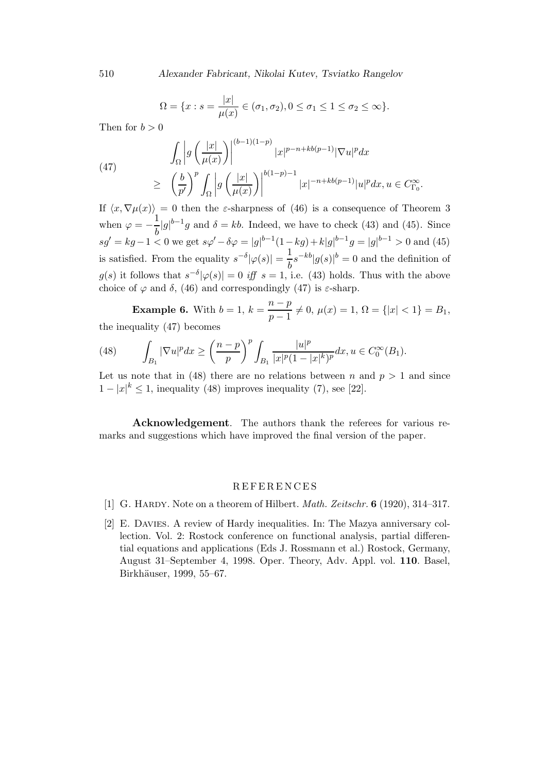510 *Alexander Fabricant, Nikolai Kutev, Tsviatko Rangelov*

$$
\Omega = \{x : s = \frac{|x|}{\mu(x)} \in (\sigma_1, \sigma_2), 0 \le \sigma_1 \le 1 \le \sigma_2 \le \infty\}.
$$

Then for  $b > 0$ 

(47) 
$$
\int_{\Omega} \left| g\left(\frac{|x|}{\mu(x)}\right) \right|^{(b-1)(1-p)} |x|^{p-n+kb(p-1)} |\nabla u|^p dx
$$

$$
\geq \left(\frac{b}{p'}\right)^p \int_{\Omega} \left| g\left(\frac{|x|}{\mu(x)}\right) \right|^{b(1-p)-1} |x|^{-n+kb(p-1)} |u|^p dx, u \in C_{\Gamma_0}^{\infty}.
$$

If  $\langle x, \nabla \mu(x)\rangle = 0$  then the *ε*-sharpness of (46) is a consequence of Theorem 3 when  $\varphi = -\frac{1}{l}$  $\frac{1}{b}|g|^{b-1}g$  and  $\delta = kb$ . Indeed, we have to check (43) and (45). Since  $sg' = kg - 1 < 0$  we get  $s\varphi' - \delta\varphi = |g|^{b-1}(1 - kg) + k|g|^{b-1}g = |g|^{b-1} > 0$  and (45) is satisfied. From the equality  $s^{-\delta} |\varphi(s)| = \frac{1}{t}$  $\frac{1}{b} s^{-kb} |g(s)|^b = 0$  and the definition of  $g(s)$  it follows that  $s^{-\delta}|\varphi(s)| = 0$  iff  $s = 1$ , i.e. (43) holds. Thus with the above choice of  $\varphi$  and  $\delta$ , (46) and correspondingly (47) is  $\varepsilon$ -sharp.

**Example 6.** With  $b = 1$ ,  $k = \frac{n-p}{n-1}$  $\frac{p}{p-1} \neq 0$ ,  $\mu(x) = 1$ ,  $\Omega = \{|x| < 1\} = B_1$ , the inequality (47) becomes

(48) 
$$
\int_{B_1} |\nabla u|^p dx \ge \left(\frac{n-p}{p}\right)^p \int_{B_1} \frac{|u|^p}{|x|^p (1-|x|^k)^p} dx, u \in C_0^{\infty}(B_1).
$$

Let us note that in (48) there are no relations between n and  $p > 1$  and since  $1-|x|^k \leq 1$ , inequality (48) improves inequality (7), see [22].

Acknowledgement. The authors thank the referees for various remarks and suggestions which have improved the final version of the paper.

#### R E F E R E N C E S

- [1] G. HARDY. Note on a theorem of Hilbert. *Math. Zeitschr.* **6** (1920), 314–317.
- [2] E. Davies. A review of Hardy inequalities. In: The Mazya anniversary collection. Vol. 2: Rostock conference on functional analysis, partial differential equations and applications (Eds J. Rossmann et al.) Rostock, Germany, August 31–September 4, 1998. Oper. Theory, Adv. Appl. vol. 110. Basel, Birkhäuser, 1999, 55–67.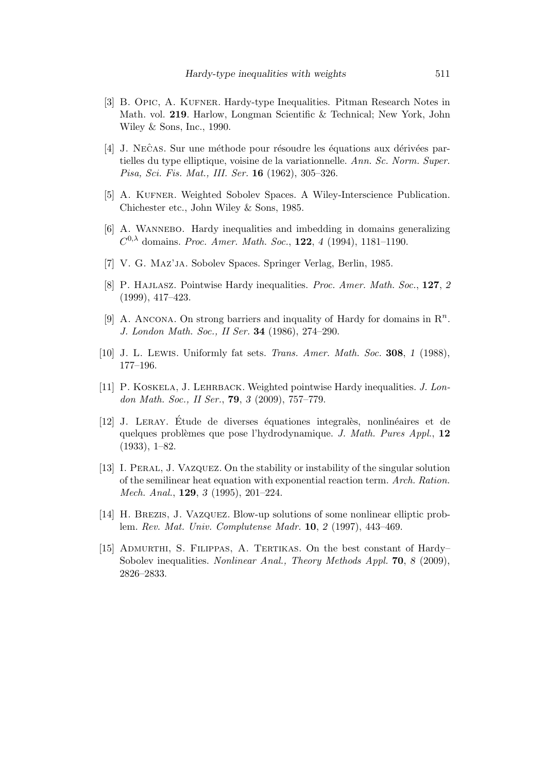- [3] B. Opic, A. Kufner. Hardy-type Inequalities. Pitman Research Notes in Math. vol. 219. Harlow, Longman Scientific & Technical; New York, John Wiley & Sons, Inc., 1990.
- [4] J. NECAS. Sur une méthode pour résoudre les équations aux dérivées partielles du type elliptique, voisine de la variationnelle. Ann. Sc. Norm. Super. Pisa, Sci. Fis. Mat., III. Ser. 16 (1962), 305–326.
- [5] A. Kufner. Weighted Sobolev Spaces. A Wiley-Interscience Publication. Chichester etc., John Wiley & Sons, 1985.
- [6] A. WANNEBO. Hardy inequalities and imbedding in domains generalizing  $C^{0,\lambda}$  domains. Proc. Amer. Math. Soc., **122**, 4 (1994), 1181–1190.
- [7] V. G. Maz'ja. Sobolev Spaces. Springer Verlag, Berlin, 1985.
- [8] P. Hajlasz. Pointwise Hardy inequalities. Proc. Amer. Math. Soc., 127, *2* (1999), 417–423.
- [9] A. ANCONA. On strong barriers and inquality of Hardy for domains in  $\mathbb{R}^n$ . J. London Math. Soc., II Ser. 34 (1986), 274–290.
- [10] J. L. Lewis. Uniformly fat sets. Trans. Amer. Math. Soc. 308, *1* (1988), 177–196.
- [11] P. Koskela, J. Lehrback. Weighted pointwise Hardy inequalities. J. London Math. Soc., II Ser., 79, *3* (2009), 757–779.
- [12] J. LERAY. Etude de diverses équationes integralès, nonlinéaires et de quelques problèmes que pose l'hydrodynamique. J. Math. Pures Appl.,  $12$ (1933), 1–82.
- [13] I. Peral, J. Vazquez. On the stability or instability of the singular solution of the semilinear heat equation with exponential reaction term. Arch. Ration. Mech. Anal., 129, *3* (1995), 201–224.
- [14] H. Brezis, J. Vazquez. Blow-up solutions of some nonlinear elliptic problem. Rev. Mat. Univ. Complutense Madr. 10, *2* (1997), 443–469.
- [15] Admurthi, S. Filippas, A. Tertikas. On the best constant of Hardy– Sobolev inequalities. *Nonlinear Anal.*, *Theory Methods Appl.* **70**, *8* (2009), 2826–2833.